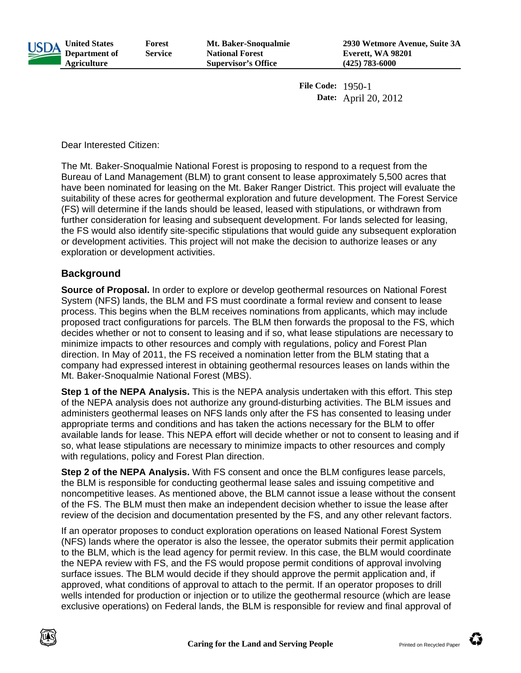

**File Code:** 1950-1 **Date:** April 20, 2012

Dear Interested Citizen:

The Mt. Baker-Snoqualmie National Forest is proposing to respond to a request from the Bureau of Land Management (BLM) to grant consent to lease approximately 5,500 acres that have been nominated for leasing on the Mt. Baker Ranger District. This project will evaluate the suitability of these acres for geothermal exploration and future development. The Forest Service (FS) will determine if the lands should be leased, leased with stipulations, or withdrawn from further consideration for leasing and subsequent development. For lands selected for leasing, the FS would also identify site-specific stipulations that would guide any subsequent exploration or development activities. This project will not make the decision to authorize leases or any exploration or development activities.

### **Background**

**Source of Proposal.** In order to explore or develop geothermal resources on National Forest System (NFS) lands, the BLM and FS must coordinate a formal review and consent to lease process. This begins when the BLM receives nominations from applicants, which may include proposed tract configurations for parcels. The BLM then forwards the proposal to the FS, which decides whether or not to consent to leasing and if so, what lease stipulations are necessary to minimize impacts to other resources and comply with regulations, policy and Forest Plan direction. In May of 2011, the FS received a nomination letter from the BLM stating that a company had expressed interest in obtaining geothermal resources leases on lands within the Mt. Baker-Snoqualmie National Forest (MBS).

**Step 1 of the NEPA Analysis.** This is the NEPA analysis undertaken with this effort. This step of the NEPA analysis does not authorize any ground-disturbing activities. The BLM issues and administers geothermal leases on NFS lands only after the FS has consented to leasing under appropriate terms and conditions and has taken the actions necessary for the BLM to offer available lands for lease. This NEPA effort will decide whether or not to consent to leasing and if so, what lease stipulations are necessary to minimize impacts to other resources and comply with regulations, policy and Forest Plan direction.

**Step 2 of the NEPA Analysis.** With FS consent and once the BLM configures lease parcels, the BLM is responsible for conducting geothermal lease sales and issuing competitive and noncompetitive leases. As mentioned above, the BLM cannot issue a lease without the consent of the FS. The BLM must then make an independent decision whether to issue the lease after review of the decision and documentation presented by the FS, and any other relevant factors.

If an operator proposes to conduct exploration operations on leased National Forest System (NFS) lands where the operator is also the lessee, the operator submits their permit application to the BLM, which is the lead agency for permit review. In this case, the BLM would coordinate the NEPA review with FS, and the FS would propose permit conditions of approval involving surface issues. The BLM would decide if they should approve the permit application and, if approved, what conditions of approval to attach to the permit. If an operator proposes to drill wells intended for production or injection or to utilize the geothermal resource (which are lease exclusive operations) on Federal lands, the BLM is responsible for review and final approval of

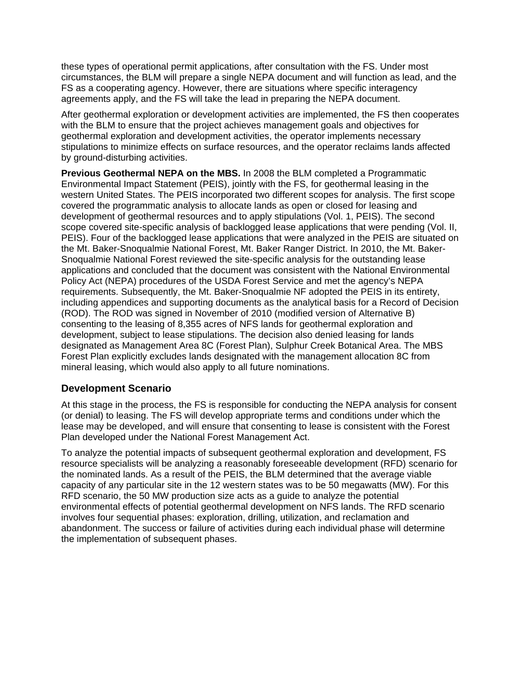these types of operational permit applications, after consultation with the FS. Under most circumstances, the BLM will prepare a single NEPA document and will function as lead, and the FS as a cooperating agency. However, there are situations where specific interagency agreements apply, and the FS will take the lead in preparing the NEPA document.

After geothermal exploration or development activities are implemented, the FS then cooperates with the BLM to ensure that the project achieves management goals and objectives for geothermal exploration and development activities, the operator implements necessary stipulations to minimize effects on surface resources, and the operator reclaims lands affected by ground-disturbing activities.

**Previous Geothermal NEPA on the MBS.** In 2008 the BLM completed a Programmatic Environmental Impact Statement (PEIS), jointly with the FS, for geothermal leasing in the western United States. The PEIS incorporated two different scopes for analysis. The first scope covered the programmatic analysis to allocate lands as open or closed for leasing and development of geothermal resources and to apply stipulations (Vol. 1, PEIS). The second scope covered site-specific analysis of backlogged lease applications that were pending (Vol. II, PEIS). Four of the backlogged lease applications that were analyzed in the PEIS are situated on the Mt. Baker-Snoqualmie National Forest, Mt. Baker Ranger District. In 2010, the Mt. Baker-Snoqualmie National Forest reviewed the site-specific analysis for the outstanding lease applications and concluded that the document was consistent with the National Environmental Policy Act (NEPA) procedures of the USDA Forest Service and met the agency's NEPA requirements. Subsequently, the Mt. Baker-Snoqualmie NF adopted the PEIS in its entirety, including appendices and supporting documents as the analytical basis for a Record of Decision (ROD). The ROD was signed in November of 2010 (modified version of Alternative B) consenting to the leasing of 8,355 acres of NFS lands for geothermal exploration and development, subject to lease stipulations. The decision also denied leasing for lands designated as Management Area 8C (Forest Plan), Sulphur Creek Botanical Area. The MBS Forest Plan explicitly excludes lands designated with the management allocation 8C from mineral leasing, which would also apply to all future nominations.

### **Development Scenario**

At this stage in the process, the FS is responsible for conducting the NEPA analysis for consent (or denial) to leasing. The FS will develop appropriate terms and conditions under which the lease may be developed, and will ensure that consenting to lease is consistent with the Forest Plan developed under the National Forest Management Act.

To analyze the potential impacts of subsequent geothermal exploration and development, FS resource specialists will be analyzing a reasonably foreseeable development (RFD) scenario for the nominated lands. As a result of the PEIS, the BLM determined that the average viable capacity of any particular site in the 12 western states was to be 50 megawatts (MW). For this RFD scenario, the 50 MW production size acts as a guide to analyze the potential environmental effects of potential geothermal development on NFS lands. The RFD scenario involves four sequential phases: exploration, drilling, utilization, and reclamation and abandonment. The success or failure of activities during each individual phase will determine the implementation of subsequent phases.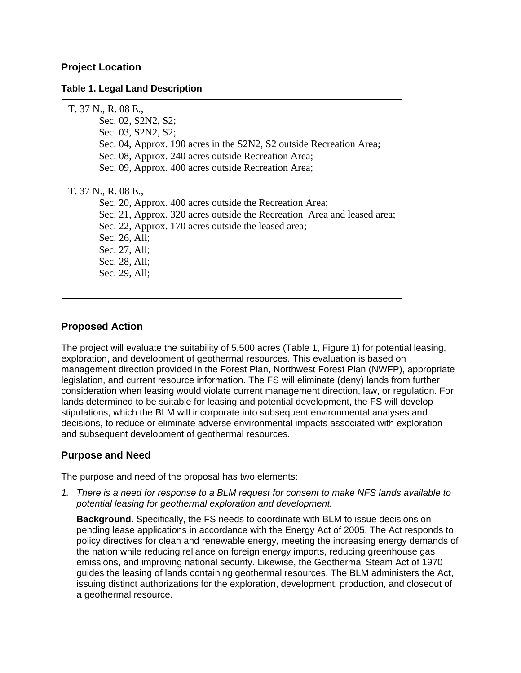## **Project Location**

#### **Table 1. Legal Land Description**

| T. 37 N., R. 08 E.,<br>Sec. 02, S2N2, S2;<br>Sec. 03, S2N2, S2;<br>Sec. 04, Approx. 190 acres in the S2N2, S2 outside Recreation Area;<br>Sec. 08, Approx. 240 acres outside Recreation Area;<br>Sec. 09, Approx. 400 acres outside Recreation Area;                                 |  |
|--------------------------------------------------------------------------------------------------------------------------------------------------------------------------------------------------------------------------------------------------------------------------------------|--|
| T. 37 N., R. 08 E.,<br>Sec. 20, Approx. 400 acres outside the Recreation Area;<br>Sec. 21, Approx. 320 acres outside the Recreation Area and leased area;<br>Sec. 22, Approx. 170 acres outside the leased area;<br>Sec. 26, All;<br>Sec. 27, All;<br>Sec. 28, All;<br>Sec. 29, All; |  |

### **Proposed Action**

The project will evaluate the suitability of 5,500 acres (Table 1, Figure 1) for potential leasing, exploration, and development of geothermal resources. This evaluation is based on management direction provided in the Forest Plan, Northwest Forest Plan (NWFP), appropriate legislation, and current resource information. The FS will eliminate (deny) lands from further consideration when leasing would violate current management direction, law, or regulation. For lands determined to be suitable for leasing and potential development, the FS will develop stipulations, which the BLM will incorporate into subsequent environmental analyses and decisions, to reduce or eliminate adverse environmental impacts associated with exploration and subsequent development of geothermal resources.

### **Purpose and Need**

The purpose and need of the proposal has two elements:

*1. There is a need for response to a BLM request for consent to make NFS lands available to potential leasing for geothermal exploration and development.* 

**Background.** Specifically, the FS needs to coordinate with BLM to issue decisions on pending lease applications in accordance with the Energy Act of 2005. The Act responds to policy directives for clean and renewable energy, meeting the increasing energy demands of the nation while reducing reliance on foreign energy imports, reducing greenhouse gas emissions, and improving national security. Likewise, the Geothermal Steam Act of 1970 guides the leasing of lands containing geothermal resources. The BLM administers the Act, issuing distinct authorizations for the exploration, development, production, and closeout of a geothermal resource.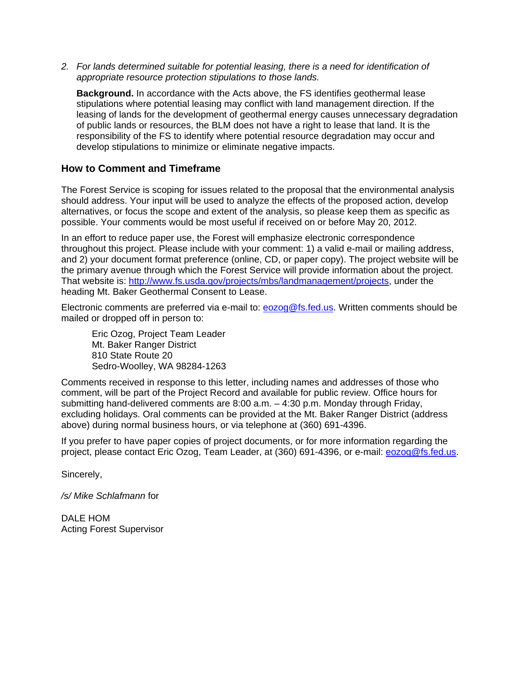*2. For lands determined suitable for potential leasing, there is a need for identification of appropriate resource protection stipulations to those lands.* 

**Background.** In accordance with the Acts above, the FS identifies geothermal lease stipulations where potential leasing may conflict with land management direction. If the leasing of lands for the development of geothermal energy causes unnecessary degradation of public lands or resources, the BLM does not have a right to lease that land. It is the responsibility of the FS to identify where potential resource degradation may occur and develop stipulations to minimize or eliminate negative impacts.

#### **How to Comment and Timeframe**

The Forest Service is scoping for issues related to the proposal that the environmental analysis should address. Your input will be used to analyze the effects of the proposed action, develop alternatives, or focus the scope and extent of the analysis, so please keep them as specific as possible. Your comments would be most useful if received on or before May 20, 2012.

In an effort to reduce paper use, the Forest will emphasize electronic correspondence throughout this project. Please include with your comment: 1) a valid e-mail or mailing address, and 2) your document format preference (online, CD, or paper copy). The project website will be the primary avenue through which the Forest Service will provide information about the project. That website is: http://www.fs.usda.gov/projects/mbs/landmanagement/projects, under the heading Mt. Baker Geothermal Consent to Lease.

Electronic comments are preferred via e-mail to: **eozog@fs.fed.us**. Written comments should be mailed or dropped off in person to:

 Eric Ozog, Project Team Leader Mt. Baker Ranger District 810 State Route 20 Sedro-Woolley, WA 98284-1263

Comments received in response to this letter, including names and addresses of those who comment, will be part of the Project Record and available for public review. Office hours for submitting hand-delivered comments are 8:00 a.m. – 4:30 p.m. Monday through Friday, excluding holidays. Oral comments can be provided at the Mt. Baker Ranger District (address above) during normal business hours, or via telephone at (360) 691-4396.

If you prefer to have paper copies of project documents, or for more information regarding the project, please contact Eric Ozog, Team Leader, at (360) 691-4396, or e-mail: eozog@fs.fed.us.

Sincerely,

*/s/ Mike Schlafmann* for

DALE HOM Acting Forest Supervisor